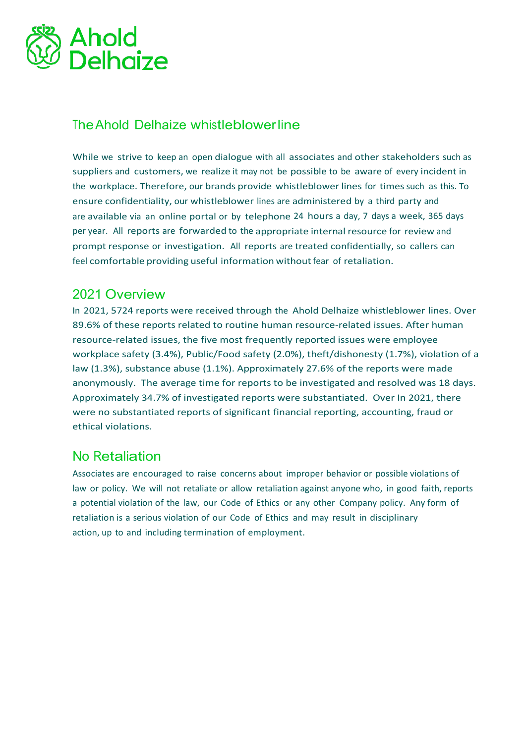

## TheAhold Delhaize whistleblowerline

While we strive to keep an open dialogue with all associates and other stakeholders such as suppliers and customers, we realize it may not be possible to be aware of every incident in the workplace. Therefore, our brands provide whistleblower lines for times such as this. To ensure confidentiality, our whistleblower lines are administered by a third party and are available via an online portal or by telephone 24 hours a day, 7 days a week, 365 days per year. All reports are forwarded to the appropriate internal resource for review and prompt response or investigation. All reports are treated confidentially, so callers can feel comfortable providing useful information without fear of retaliation.

## 2021 Overview

In 2021, 5724 reports were received through the Ahold Delhaize whistleblower lines. Over 89.6% of these reports related to routine human resource-related issues. After human resource-related issues, the five most frequently reported issues were employee workplace safety (3.4%), Public/Food safety (2.0%), theft/dishonesty (1.7%), violation of a law (1.3%), substance abuse (1.1%). Approximately 27.6% of the reports were made anonymously. The average time for reports to be investigated and resolved was 18 days. Approximately 34.7% of investigated reports were substantiated. Over In 2021, there were no substantiated reports of significant financial reporting, accounting, fraud or ethical violations.

## No Retaliation

Associates are encouraged to raise concerns about improper behavior or possible violations of law or policy. We will not retaliate or allow retaliation against anyone who, in good faith, reports a potential violation of the law, our Code of Ethics or any other Company policy. Any form of retaliation is a serious violation of our Code of Ethics and may result in disciplinary action, up to and including termination of employment.